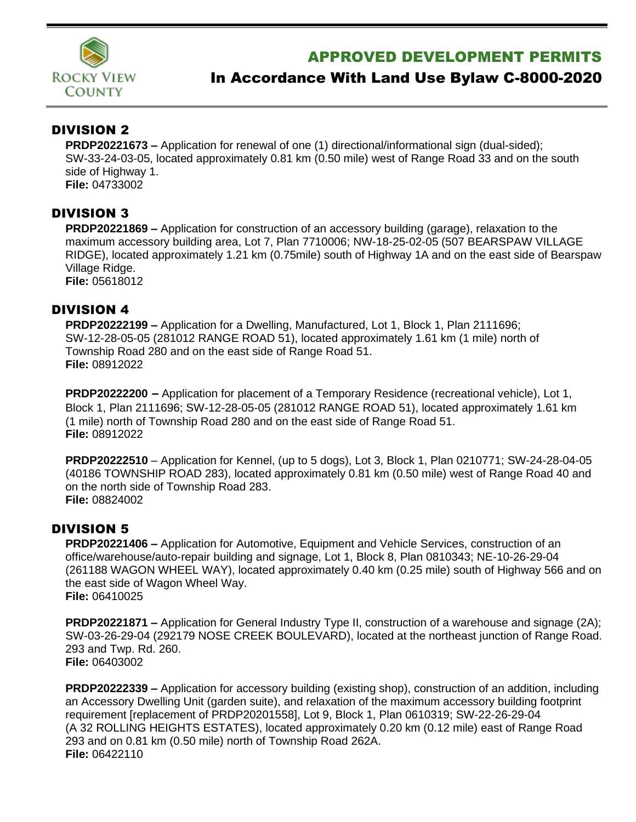

## APPROVED DEVELOPMENT PERMITS

# In Accordance With Land Use Bylaw C-8000-2020

### DIVISION 2

**PRDP20221673 –** Application for renewal of one (1) directional/informational sign (dual-sided); SW-33-24-03-05, located approximately 0.81 km (0.50 mile) west of Range Road 33 and on the south side of Highway 1. **File:** 04733002

#### DIVISION 3

**PRDP20221869 –** Application for construction of an accessory building (garage), relaxation to the maximum accessory building area, Lot 7, Plan 7710006; NW-18-25-02-05 (507 BEARSPAW VILLAGE RIDGE), located approximately 1.21 km (0.75mile) south of Highway 1A and on the east side of Bearspaw Village Ridge.

**File:** 05618012

#### DIVISION 4

**PRDP20222199 –** Application for a Dwelling, Manufactured, Lot 1, Block 1, Plan 2111696; SW-12-28-05-05 (281012 RANGE ROAD 51), located approximately 1.61 km (1 mile) north of Township Road 280 and on the east side of Range Road 51. **File:** 08912022

**PRDP20222200** – Application for placement of a Temporary Residence (recreational vehicle), Lot 1, Block 1, Plan 2111696; SW-12-28-05-05 (281012 RANGE ROAD 51), located approximately 1.61 km (1 mile) north of Township Road 280 and on the east side of Range Road 51. **File:** 08912022

**PRDP20222510** – Application for Kennel, (up to 5 dogs), Lot 3, Block 1, Plan 0210771; SW-24-28-04-05 (40186 TOWNSHIP ROAD 283), located approximately 0.81 km (0.50 mile) west of Range Road 40 and on the north side of Township Road 283. **File:** 08824002

#### DIVISION 5

**PRDP20221406 –** Application for Automotive, Equipment and Vehicle Services, construction of an office/warehouse/auto-repair building and signage, Lot 1, Block 8, Plan 0810343; NE-10-26-29-04 (261188 WAGON WHEEL WAY), located approximately 0.40 km (0.25 mile) south of Highway 566 and on the east side of Wagon Wheel Way. **File:** 06410025

**PRDP20221871 –** Application for General Industry Type II, construction of a warehouse and signage (2A); SW-03-26-29-04 (292179 NOSE CREEK BOULEVARD), located at the northeast junction of Range Road. 293 and Twp. Rd. 260. **File:** 06403002

**PRDP20222339 –** Application for accessory building (existing shop), construction of an addition, including an Accessory Dwelling Unit (garden suite), and relaxation of the maximum accessory building footprint requirement [replacement of PRDP20201558], Lot 9, Block 1, Plan 0610319; SW-22-26-29-04 (A 32 ROLLING HEIGHTS ESTATES), located approximately 0.20 km (0.12 mile) east of Range Road 293 and on 0.81 km (0.50 mile) north of Township Road 262A. **File:** 06422110